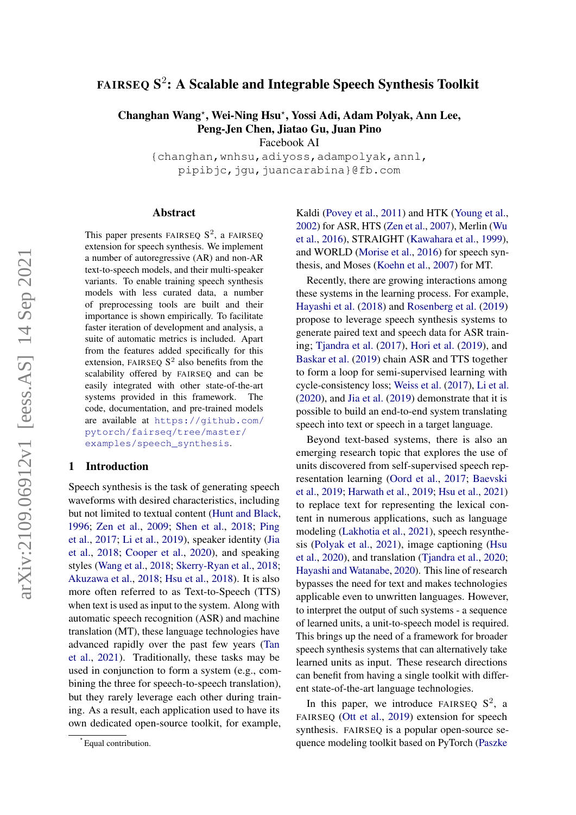# <code>FAIRSEQ</code>  $\mathbf{S}^2$ : A Scalable and Integrable Speech Synthesis Toolkit

Changhan Wang\*, Wei-Ning Hsu\*, Yossi Adi, Adam Polyak, Ann Lee, Peng-Jen Chen, Jiatao Gu, Juan Pino

Facebook AI

{changhan,wnhsu,adiyoss,adampolyak,annl, pipibjc,jqu,juancarabina}@fb.com

## Abstract

This paper presents FAIRSEQ  $S^2$ , a FAIRSEQ extension for speech synthesis. We implement a number of autoregressive (AR) and non-AR text-to-speech models, and their multi-speaker variants. To enable training speech synthesis models with less curated data, a number of preprocessing tools are built and their importance is shown empirically. To facilitate faster iteration of development and analysis, a suite of automatic metrics is included. Apart from the features added specifically for this extension, FAIRSEQ  $S<sup>2</sup>$  also benefits from the scalability offered by FAIRSEQ and can be easily integrated with other state-of-the-art systems provided in this framework. The code, documentation, and pre-trained models are available at [https://github.com/](https://github.com/pytorch/fairseq/tree/master/examples/speech_synthesis) [pytorch/fairseq/tree/master/](https://github.com/pytorch/fairseq/tree/master/examples/speech_synthesis) [examples/speech\\_synthesis](https://github.com/pytorch/fairseq/tree/master/examples/speech_synthesis).

## 1 Introduction

Speech synthesis is the task of generating speech waveforms with desired characteristics, including but not limited to textual content [\(Hunt and Black,](#page-7-0) [1996;](#page-7-0) [Zen et al.,](#page-9-0) [2009;](#page-9-0) [Shen et al.,](#page-8-0) [2018;](#page-8-0) [Ping](#page-8-1) [et al.,](#page-8-1) [2017;](#page-8-1) [Li et al.,](#page-7-1) [2019\)](#page-7-1), speaker identity [\(Jia](#page-7-2) [et al.,](#page-7-2) [2018;](#page-7-2) [Cooper et al.,](#page-6-0) [2020\)](#page-6-0), and speaking styles [\(Wang et al.,](#page-8-2) [2018;](#page-8-2) [Skerry-Ryan et al.,](#page-8-3) [2018;](#page-8-3) [Akuzawa et al.,](#page-6-1) [2018;](#page-6-1) [Hsu et al.,](#page-7-3) [2018\)](#page-7-3). It is also more often referred to as Text-to-Speech (TTS) when text is used as input to the system. Along with automatic speech recognition (ASR) and machine translation (MT), these language technologies have advanced rapidly over the past few years [\(Tan](#page-8-4) [et al.,](#page-8-4) [2021\)](#page-8-4). Traditionally, these tasks may be used in conjunction to form a system (e.g., combining the three for speech-to-speech translation), but they rarely leverage each other during training. As a result, each application used to have its own dedicated open-source toolkit, for example,

Kaldi [\(Povey et al.,](#page-8-5) [2011\)](#page-8-5) and HTK [\(Young et al.,](#page-9-1) [2002\)](#page-9-1) for ASR, HTS [\(Zen et al.,](#page-9-2) [2007\)](#page-9-2), Merlin [\(Wu](#page-9-3) [et al.,](#page-9-3) [2016\)](#page-9-3), STRAIGHT [\(Kawahara et al.,](#page-7-4) [1999\)](#page-7-4), and WORLD [\(Morise et al.,](#page-7-5) [2016\)](#page-7-5) for speech synthesis, and Moses [\(Koehn et al.,](#page-7-6) [2007\)](#page-7-6) for MT.

Recently, there are growing interactions among these systems in the learning process. For example, [Hayashi et al.](#page-6-2) [\(2018\)](#page-6-2) and [Rosenberg et al.](#page-8-6) [\(2019\)](#page-8-6) propose to leverage speech synthesis systems to generate paired text and speech data for ASR training; [Tjandra et al.](#page-8-7) [\(2017\)](#page-8-7), [Hori et al.](#page-6-3) [\(2019\)](#page-6-3), and [Baskar et al.](#page-6-4) [\(2019\)](#page-6-4) chain ASR and TTS together to form a loop for semi-supervised learning with cycle-consistency loss; [Weiss et al.](#page-9-4) [\(2017\)](#page-9-4), [Li et al.](#page-7-7) [\(2020\)](#page-7-7), and [Jia et al.](#page-7-8) [\(2019\)](#page-7-8) demonstrate that it is possible to build an end-to-end system translating speech into text or speech in a target language.

Beyond text-based systems, there is also an emerging research topic that explores the use of units discovered from self-supervised speech representation learning [\(Oord et al.,](#page-7-9) [2017;](#page-7-9) [Baevski](#page-6-5) [et al.,](#page-6-5) [2019;](#page-6-5) [Harwath et al.,](#page-6-6) [2019;](#page-6-6) [Hsu et al.,](#page-6-7) [2021\)](#page-6-7) to replace text for representing the lexical content in numerous applications, such as language modeling [\(Lakhotia et al.,](#page-7-10) [2021\)](#page-7-10), speech resynthesis [\(Polyak et al.,](#page-8-8) [2021\)](#page-8-8), image captioning [\(Hsu](#page-6-8) [et al.,](#page-6-8) [2020\)](#page-6-8), and translation [\(Tjandra et al.,](#page-8-9) [2020;](#page-8-9) [Hayashi and Watanabe,](#page-6-9) [2020\)](#page-6-9). This line of research bypasses the need for text and makes technologies applicable even to unwritten languages. However, to interpret the output of such systems - a sequence of learned units, a unit-to-speech model is required. This brings up the need of a framework for broader speech synthesis systems that can alternatively take learned units as input. These research directions can benefit from having a single toolkit with different state-of-the-art language technologies.

In this paper, we introduce FAIRSEQ  $S^2$ , a FAIRSEQ [\(Ott et al.,](#page-7-11) [2019\)](#page-7-11) extension for speech synthesis. FAIRSEQ is a popular open-source sequence modeling toolkit based on PyTorch [\(Paszke](#page-8-10)

<sup>?</sup> Equal contribution.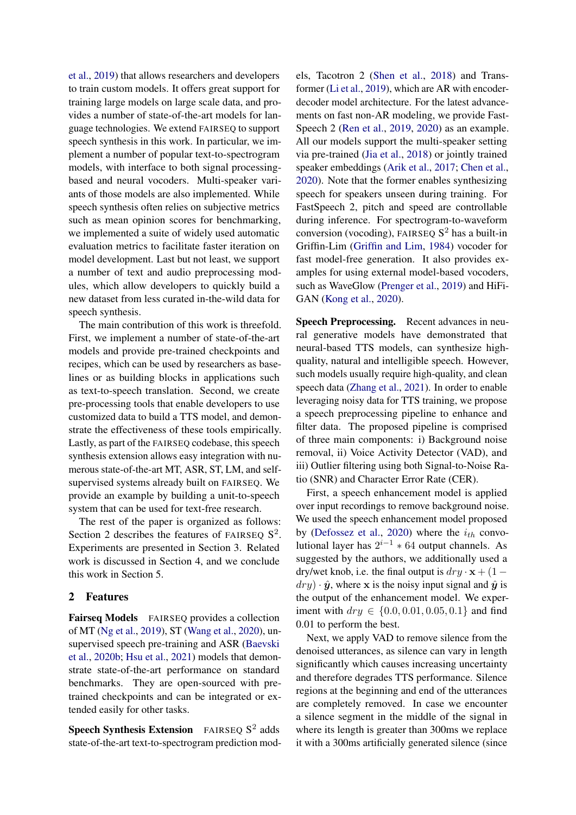[et al.,](#page-8-10) [2019\)](#page-8-10) that allows researchers and developers to train custom models. It offers great support for training large models on large scale data, and provides a number of state-of-the-art models for language technologies. We extend FAIRSEQ to support speech synthesis in this work. In particular, we implement a number of popular text-to-spectrogram models, with interface to both signal processingbased and neural vocoders. Multi-speaker variants of those models are also implemented. While speech synthesis often relies on subjective metrics such as mean opinion scores for benchmarking, we implemented a suite of widely used automatic evaluation metrics to facilitate faster iteration on model development. Last but not least, we support a number of text and audio preprocessing modules, which allow developers to quickly build a new dataset from less curated in-the-wild data for speech synthesis.

The main contribution of this work is threefold. First, we implement a number of state-of-the-art models and provide pre-trained checkpoints and recipes, which can be used by researchers as baselines or as building blocks in applications such as text-to-speech translation. Second, we create pre-processing tools that enable developers to use customized data to build a TTS model, and demonstrate the effectiveness of these tools empirically. Lastly, as part of the FAIRSEQ codebase, this speech synthesis extension allows easy integration with numerous state-of-the-art MT, ASR, ST, LM, and selfsupervised systems already built on FAIRSEQ. We provide an example by building a unit-to-speech system that can be used for text-free research.

The rest of the paper is organized as follows: Section 2 describes the features of FAIRSEQ  $S^2$ . Experiments are presented in Section 3. Related work is discussed in Section 4, and we conclude this work in Section 5.

# 2 Features

Fairseq Models FAIRSEQ provides a collection of MT [\(Ng et al.,](#page-7-12) [2019\)](#page-7-12), ST [\(Wang et al.,](#page-8-11) [2020\)](#page-8-11), unsupervised speech pre-training and ASR [\(Baevski](#page-6-10) [et al.,](#page-6-10) [2020b;](#page-6-10) [Hsu et al.,](#page-6-7) [2021\)](#page-6-7) models that demonstrate state-of-the-art performance on standard benchmarks. They are open-sourced with pretrained checkpoints and can be integrated or extended easily for other tasks.

Speech Synthesis Extension FAIRSEQ  $S^2$  adds state-of-the-art text-to-spectrogram prediction models, Tacotron 2 [\(Shen et al.,](#page-8-0) [2018\)](#page-8-0) and Transformer [\(Li et al.,](#page-7-1) [2019\)](#page-7-1), which are AR with encoderdecoder model architecture. For the latest advancements on fast non-AR modeling, we provide Fast-Speech 2 [\(Ren et al.,](#page-8-12) [2019,](#page-8-12) [2020\)](#page-8-13) as an example. All our models support the multi-speaker setting via pre-trained [\(Jia et al.,](#page-7-2) [2018\)](#page-7-2) or jointly trained speaker embeddings [\(Arik et al.,](#page-6-11) [2017;](#page-6-11) [Chen et al.,](#page-6-12) [2020\)](#page-6-12). Note that the former enables synthesizing speech for speakers unseen during training. For FastSpeech 2, pitch and speed are controllable during inference. For spectrogram-to-waveform conversion (vocoding), FAIRSEQ  $S<sup>2</sup>$  has a built-in Griffin-Lim [\(Griffin and Lim,](#page-6-13) [1984\)](#page-6-13) vocoder for fast model-free generation. It also provides examples for using external model-based vocoders, such as WaveGlow [\(Prenger et al.,](#page-8-14) [2019\)](#page-8-14) and HiFi-GAN [\(Kong et al.,](#page-7-13) [2020\)](#page-7-13).

Speech Preprocessing. Recent advances in neural generative models have demonstrated that neural-based TTS models, can synthesize highquality, natural and intelligible speech. However, such models usually require high-quality, and clean speech data [\(Zhang et al.,](#page-9-5) [2021\)](#page-9-5). In order to enable leveraging noisy data for TTS training, we propose a speech preprocessing pipeline to enhance and filter data. The proposed pipeline is comprised of three main components: i) Background noise removal, ii) Voice Activity Detector (VAD), and iii) Outlier filtering using both Signal-to-Noise Ratio (SNR) and Character Error Rate (CER).

First, a speech enhancement model is applied over input recordings to remove background noise. We used the speech enhancement model proposed by [\(Defossez et al.,](#page-6-14) [2020\)](#page-6-14) where the  $i_{th}$  convolutional layer has  $2^{i-1}$   $*$  64 output channels. As suggested by the authors, we additionally used a dry/wet knob, i.e. the final output is  $dry \cdot x + (1$  $dry) \cdot \hat{y}$ , where x is the noisy input signal and  $\hat{y}$  is the output of the enhancement model. We experiment with  $dry \in \{0.0, 0.01, 0.05, 0.1\}$  and find 0.01 to perform the best.

Next, we apply VAD to remove silence from the denoised utterances, as silence can vary in length significantly which causes increasing uncertainty and therefore degrades TTS performance. Silence regions at the beginning and end of the utterances are completely removed. In case we encounter a silence segment in the middle of the signal in where its length is greater than 300ms we replace it with a 300ms artificially generated silence (since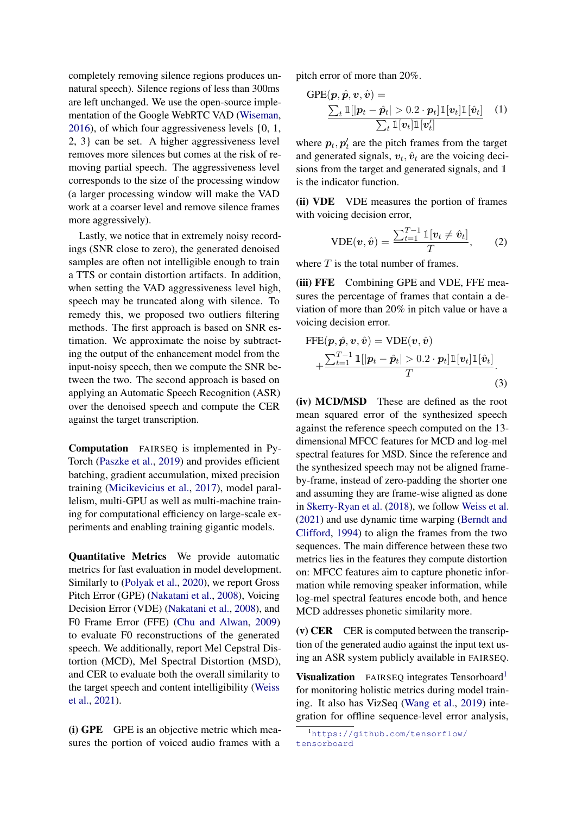completely removing silence regions produces unnatural speech). Silence regions of less than 300ms are left unchanged. We use the open-source implementation of the Google WebRTC VAD [\(Wiseman,](#page-9-6) [2016\)](#page-9-6), of which four aggressiveness levels {0, 1, 2, 3} can be set. A higher aggressiveness level removes more silences but comes at the risk of removing partial speech. The aggressiveness level corresponds to the size of the processing window (a larger processing window will make the VAD work at a coarser level and remove silence frames more aggressively).

Lastly, we notice that in extremely noisy recordings (SNR close to zero), the generated denoised samples are often not intelligible enough to train a TTS or contain distortion artifacts. In addition, when setting the VAD aggressiveness level high, speech may be truncated along with silence. To remedy this, we proposed two outliers filtering methods. The first approach is based on SNR estimation. We approximate the noise by subtracting the output of the enhancement model from the input-noisy speech, then we compute the SNR between the two. The second approach is based on applying an Automatic Speech Recognition (ASR) over the denoised speech and compute the CER against the target transcription.

Computation FAIRSEQ is implemented in Py-Torch [\(Paszke et al.,](#page-8-10) [2019\)](#page-8-10) and provides efficient batching, gradient accumulation, mixed precision training [\(Micikevicius et al.,](#page-7-14) [2017\)](#page-7-14), model parallelism, multi-GPU as well as multi-machine training for computational efficiency on large-scale experiments and enabling training gigantic models.

Quantitative Metrics We provide automatic metrics for fast evaluation in model development. Similarly to [\(Polyak et al.,](#page-8-15) [2020\)](#page-8-15), we report Gross Pitch Error (GPE) [\(Nakatani et al.,](#page-7-15) [2008\)](#page-7-15), Voicing Decision Error (VDE) [\(Nakatani et al.,](#page-7-15) [2008\)](#page-7-15), and F0 Frame Error (FFE) [\(Chu and Alwan,](#page-6-15) [2009\)](#page-6-15) to evaluate F0 reconstructions of the generated speech. We additionally, report Mel Cepstral Distortion (MCD), Mel Spectral Distortion (MSD), and CER to evaluate both the overall similarity to the target speech and content intelligibility [\(Weiss](#page-9-7) [et al.,](#page-9-7) [2021\)](#page-9-7).

(i) GPE GPE is an objective metric which measures the portion of voiced audio frames with a

pitch error of more than 20%.

$$
GPE(\boldsymbol{p}, \hat{\boldsymbol{p}}, \boldsymbol{v}, \hat{\boldsymbol{v}}) = \frac{\sum_{t} \mathbb{1}[|\boldsymbol{p}_t - \hat{\boldsymbol{p}}_t| > 0.2 \cdot \boldsymbol{p}_t] \mathbb{1}[v_t] \mathbb{1}[\hat{v}_t]}{\sum_{t} \mathbb{1}[v_t] \mathbb{1}[v_t']} \quad (1)
$$

where  $p_t$ ,  $p'_t$  are the pitch frames from the target and generated signals,  $v_t$ ,  $\hat{v}_t$  are the voicing decisions from the target and generated signals, and 1 is the indicator function.

(ii) VDE VDE measures the portion of frames with voicing decision error,

$$
\text{VDE}(\boldsymbol{v}, \hat{\boldsymbol{v}}) = \frac{\sum_{t=1}^{T-1} \mathbb{1}[v_t \neq \hat{v}_t]}{T}, \qquad (2)
$$

where  $T$  is the total number of frames.

(iii) FFE Combining GPE and VDE, FFE measures the percentage of frames that contain a deviation of more than 20% in pitch value or have a voicing decision error.

$$
\begin{aligned} \text{FFE}(p, \hat{p}, v, \hat{v}) &= \text{VDE}(v, \hat{v}) \\ &+ \frac{\sum_{t=1}^{T-1} \mathbb{1}[|p_t - \hat{p}_t| > 0.2 \cdot p_t] \mathbb{1}[v_t] \mathbb{1}[\hat{v}_t]}{T} . \end{aligned} \tag{3}
$$

(iv) MCD/MSD These are defined as the root mean squared error of the synthesized speech against the reference speech computed on the 13 dimensional MFCC features for MCD and log-mel spectral features for MSD. Since the reference and the synthesized speech may not be aligned frameby-frame, instead of zero-padding the shorter one and assuming they are frame-wise aligned as done in [Skerry-Ryan et al.](#page-8-3) [\(2018\)](#page-8-3), we follow [Weiss et al.](#page-9-7) [\(2021\)](#page-9-7) and use dynamic time warping [\(Berndt and](#page-6-16) [Clifford,](#page-6-16) [1994\)](#page-6-16) to align the frames from the two sequences. The main difference between these two metrics lies in the features they compute distortion on: MFCC features aim to capture phonetic information while removing speaker information, while log-mel spectral features encode both, and hence MCD addresses phonetic similarity more.

 $(v)$  CER CER is computed between the transcription of the generated audio against the input text using an ASR system publicly available in FAIRSEQ.

Visualization FAIRSEQ integrates Tensorboard<sup>[1](#page-2-0)</sup> for monitoring holistic metrics during model training. It also has VizSeq [\(Wang et al.,](#page-8-16) [2019\)](#page-8-16) integration for offline sequence-level error analysis,

<span id="page-2-0"></span><sup>1</sup>[https://github.com/tensorflow/](https://github.com/tensorflow/tensorboard) [tensorboard](https://github.com/tensorflow/tensorboard)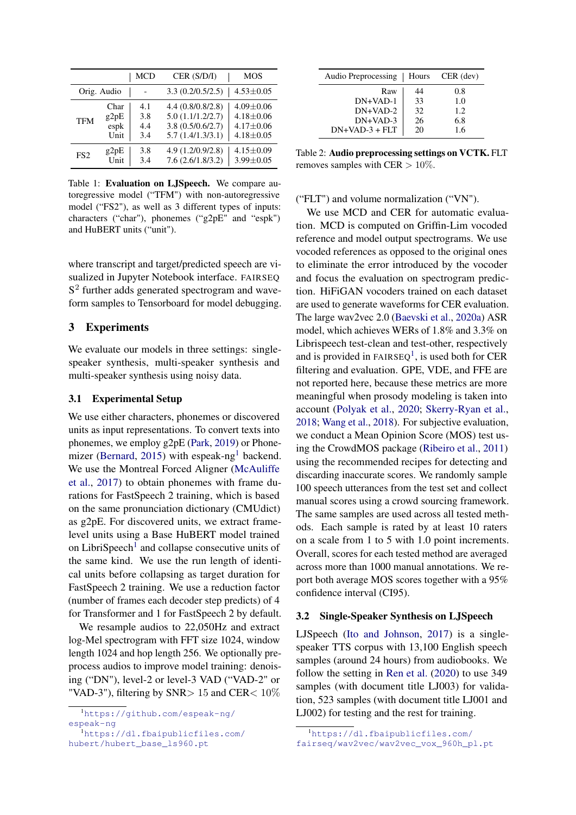<span id="page-3-3"></span>

|                 |      | <b>MCD</b> | CER (S/D/I)       | <b>MOS</b>      |  |
|-----------------|------|------------|-------------------|-----------------|--|
| Orig. Audio     |      |            | 3.3(0.2/0.5/2.5)  | $4.53 \pm 0.05$ |  |
| <b>TFM</b>      | Char | 4.1        | 4.4(0.8/0.8/2.8)  | $4.09 \pm 0.06$ |  |
|                 | g2pE | 3.8        | 5.0(1.1/1.2/2.7)  | $4.18 \pm 0.06$ |  |
|                 | espk | 4.4        | 3.8(0.5/0.6/2.7)  | $4.17 \pm 0.06$ |  |
|                 | Unit | 3.4        | 5.7(1.4/1.3/3.1)  | $4.18 + 0.05$   |  |
| FS <sub>2</sub> | g2pE | 3.8        | 4.9 (1.2/0.9/2.8) | $4.15 \pm 0.09$ |  |
|                 | Unit | 3.4        | 7.6(2.6/1.8/3.2)  | $3.99 \pm 0.05$ |  |

Table 1: Evaluation on LJSpeech. We compare autoregressive model ("TFM") with non-autoregressive model ("FS2"), as well as 3 different types of inputs: characters ("char"), phonemes ("g2pE" and "espk") and HuBERT units ("unit").

where transcript and target/predicted speech are visualized in Jupyter Notebook interface. FAIRSEQ S<sup>2</sup> further adds generated spectrogram and waveform samples to Tensorboard for model debugging.

## 3 Experiments

We evaluate our models in three settings: singlespeaker synthesis, multi-speaker synthesis and multi-speaker synthesis using noisy data.

#### 3.1 Experimental Setup

We use either characters, phonemes or discovered units as input representations. To convert texts into phonemes, we employ g2pE [\(Park,](#page-8-17) [2019\)](#page-8-17) or Phone-mizer [\(Bernard,](#page-6-17) [2015\)](#page-6-17) with espeak-ng<sup>[1](#page-3-0)</sup> backend. We use the Montreal Forced Aligner [\(McAuliffe](#page-7-16) [et al.,](#page-7-16) [2017\)](#page-7-16) to obtain phonemes with frame durations for FastSpeech 2 training, which is based on the same pronunciation dictionary (CMUdict) as g2pE. For discovered units, we extract framelevel units using a Base HuBERT model trained on LibriSpeech<sup>[1](#page-3-1)</sup> and collapse consecutive units of the same kind. We use the run length of identical units before collapsing as target duration for FastSpeech 2 training. We use a reduction factor (number of frames each decoder step predicts) of 4 for Transformer and 1 for FastSpeech 2 by default.

We resample audios to 22,050Hz and extract log-Mel spectrogram with FFT size 1024, window length 1024 and hop length 256. We optionally preprocess audios to improve model training: denoising ("DN"), level-2 or level-3 VAD ("VAD-2" or "VAD-3"), filtering by SNR > 15 and CER  $< 10\%$ 

<span id="page-3-1"></span><sup>1</sup>[https://dl.fbaipublicfiles.com/](https://dl.fbaipublicfiles.com/hubert/hubert_base_ls960.pt) [hubert/hubert\\_base\\_ls960.pt](https://dl.fbaipublicfiles.com/hubert/hubert_base_ls960.pt)

<span id="page-3-4"></span>

| Audio Preprocessing | Hours | $CER$ (dev) |
|---------------------|-------|-------------|
| Raw                 | 44    | 0.8         |
| $DN+VAD-1$          | 33    | 1.0         |
| $DN+VAD-2$          | 32    | 1.2.        |
| $DN+VAD-3$          | 26    | 6.8         |
| $DN+VAD-3 + FLT$    | 20    | 1.6         |

Table 2: Audio preprocessing settings on VCTK. FLT removes samples with CER  $> 10\%$ .

## ("FLT") and volume normalization ("VN").

We use MCD and CER for automatic evaluation. MCD is computed on Griffin-Lim vocoded reference and model output spectrograms. We use vocoded references as opposed to the original ones to eliminate the error introduced by the vocoder and focus the evaluation on spectrogram prediction. HiFiGAN vocoders trained on each dataset are used to generate waveforms for CER evaluation. The large wav2vec 2.0 [\(Baevski et al.,](#page-6-18) [2020a\)](#page-6-18) ASR model, which achieves WERs of 1.8% and 3.3% on Librispeech test-clean and test-other, respectively and is provided in  $FAIRSEQ<sup>1</sup>$  $FAIRSEQ<sup>1</sup>$  $FAIRSEQ<sup>1</sup>$ , is used both for CER filtering and evaluation. GPE, VDE, and FFE are not reported here, because these metrics are more meaningful when prosody modeling is taken into account [\(Polyak et al.,](#page-8-15) [2020;](#page-8-15) [Skerry-Ryan et al.,](#page-8-3) [2018;](#page-8-3) [Wang et al.,](#page-8-2) [2018\)](#page-8-2). For subjective evaluation, we conduct a Mean Opinion Score (MOS) test using the CrowdMOS package [\(Ribeiro et al.,](#page-8-18) [2011\)](#page-8-18) using the recommended recipes for detecting and discarding inaccurate scores. We randomly sample 100 speech utterances from the test set and collect manual scores using a crowd sourcing framework. The same samples are used across all tested methods. Each sample is rated by at least 10 raters on a scale from 1 to 5 with 1.0 point increments. Overall, scores for each tested method are averaged across more than 1000 manual annotations. We report both average MOS scores together with a 95% confidence interval (CI95).

#### 3.2 Single-Speaker Synthesis on LJSpeech

LJSpeech [\(Ito and Johnson,](#page-7-17) [2017\)](#page-7-17) is a singlespeaker TTS corpus with 13,100 English speech samples (around 24 hours) from audiobooks. We follow the setting in [Ren et al.](#page-8-13) [\(2020\)](#page-8-13) to use 349 samples (with document title LJ003) for validation, 523 samples (with document title LJ001 and LJ002) for testing and the rest for training.

<span id="page-3-0"></span><sup>1</sup>[https://github.com/espeak-ng/](https://github.com/espeak-ng/espeak-ng) [espeak-ng](https://github.com/espeak-ng/espeak-ng)

<span id="page-3-2"></span><sup>1</sup>[https://dl.fbaipublicfiles.com/](https://dl.fbaipublicfiles.com/fairseq/wav2vec/wav2vec_vox_960h_pl.pt) [fairseq/wav2vec/wav2vec\\_vox\\_960h\\_pl.pt](https://dl.fbaipublicfiles.com/fairseq/wav2vec/wav2vec_vox_960h_pl.pt)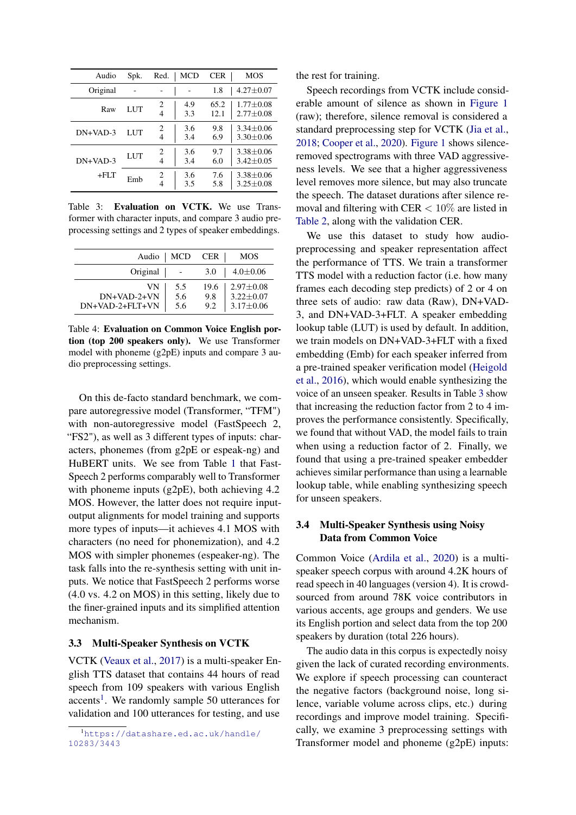<span id="page-4-1"></span>

| Audio      | Spk. | Red.   | MCD        | CER          | <b>MOS</b>                       |
|------------|------|--------|------------|--------------|----------------------------------|
| Original   |      |        |            | 1.8          | $4.27 \pm 0.07$                  |
| Raw        | LUT  | 2<br>4 | 4.9<br>3.3 | 65.2<br>12.1 | $1.77 \pm 0.08$<br>$2.77 + 0.08$ |
| $DN+VAD-3$ | LUT  | 2<br>4 | 3.6<br>3.4 | 9.8<br>6.9   | $3.34 + 0.06$<br>$3.30 + 0.06$   |
| $DN+VAD-3$ | LUT  | 2<br>4 | 3.6<br>3.4 | 9.7<br>6.0   | $3.38 + 0.06$<br>$3.42 + 0.05$   |
| $+$ FI $T$ | Emb  | 2<br>4 | 3.6<br>3.5 | 7.6<br>5.8   | $3.38 + 0.06$<br>$3.25 + 0.08$   |

Table 3: Evaluation on VCTK. We use Transformer with character inputs, and compare 3 audio preprocessing settings and 2 types of speaker embeddings.

<span id="page-4-2"></span>

| Audio               | MCD        | <b>CER</b>  | MOS                              |
|---------------------|------------|-------------|----------------------------------|
| Original            |            | 3.0         | $4.0 \pm 0.06$                   |
| VN<br>$DN+VAD-2+VN$ | 5.5<br>5.6 | 19.6<br>9.8 | $2.97 \pm 0.08$<br>$3.22 + 0.07$ |
| DN+VAD-2+FLT+VN     | 5.6        | 9.2         | $3.17 \pm 0.06$                  |

Table 4: Evaluation on Common Voice English portion (top 200 speakers only). We use Transformer model with phoneme (g2pE) inputs and compare 3 audio preprocessing settings.

On this de-facto standard benchmark, we compare autoregressive model (Transformer, "TFM") with non-autoregressive model (FastSpeech 2, "FS2"), as well as 3 different types of inputs: characters, phonemes (from g2pE or espeak-ng) and HuBERT units. We see from Table [1](#page-3-3) that Fast-Speech 2 performs comparably well to Transformer with phoneme inputs (g2pE), both achieving 4.2 MOS. However, the latter does not require inputoutput alignments for model training and supports more types of inputs—it achieves 4.1 MOS with characters (no need for phonemization), and 4.2 MOS with simpler phonemes (espeaker-ng). The task falls into the re-synthesis setting with unit inputs. We notice that FastSpeech 2 performs worse (4.0 vs. 4.2 on MOS) in this setting, likely due to the finer-grained inputs and its simplified attention mechanism.

## 3.3 Multi-Speaker Synthesis on VCTK

VCTK [\(Veaux et al.,](#page-8-19) [2017\)](#page-8-19) is a multi-speaker English TTS dataset that contains 44 hours of read speech from 109 speakers with various English  $accents<sup>1</sup>$  $accents<sup>1</sup>$  $accents<sup>1</sup>$ . We randomly sample 50 utterances for validation and 100 utterances for testing, and use

the rest for training.

Speech recordings from VCTK include considerable amount of silence as shown in [Figure 1](#page-5-0) (raw); therefore, silence removal is considered a standard preprocessing step for VCTK [\(Jia et al.,](#page-7-2) [2018;](#page-7-2) [Cooper et al.,](#page-6-0) [2020\)](#page-6-0). [Figure 1](#page-5-0) shows silenceremoved spectrograms with three VAD aggressiveness levels. We see that a higher aggressiveness level removes more silence, but may also truncate the speech. The dataset durations after silence removal and filtering with CER  $< 10\%$  are listed in [Table 2,](#page-3-4) along with the validation CER.

We use this dataset to study how audiopreprocessing and speaker representation affect the performance of TTS. We train a transformer TTS model with a reduction factor (i.e. how many frames each decoding step predicts) of 2 or 4 on three sets of audio: raw data (Raw), DN+VAD-3, and DN+VAD-3+FLT. A speaker embedding lookup table (LUT) is used by default. In addition, we train models on DN+VAD-3+FLT with a fixed embedding (Emb) for each speaker inferred from a pre-trained speaker verification model [\(Heigold](#page-6-19) [et al.,](#page-6-19) [2016\)](#page-6-19), which would enable synthesizing the voice of an unseen speaker. Results in Table [3](#page-4-1) show that increasing the reduction factor from 2 to 4 improves the performance consistently. Specifically, we found that without VAD, the model fails to train when using a reduction factor of 2. Finally, we found that using a pre-trained speaker embedder achieves similar performance than using a learnable lookup table, while enabling synthesizing speech for unseen speakers.

# 3.4 Multi-Speaker Synthesis using Noisy Data from Common Voice

Common Voice [\(Ardila et al.,](#page-6-20) [2020\)](#page-6-20) is a multispeaker speech corpus with around 4.2K hours of read speech in 40 languages (version 4). It is crowdsourced from around 78K voice contributors in various accents, age groups and genders. We use its English portion and select data from the top 200 speakers by duration (total 226 hours).

The audio data in this corpus is expectedly noisy given the lack of curated recording environments. We explore if speech processing can counteract the negative factors (background noise, long silence, variable volume across clips, etc.) during recordings and improve model training. Specifically, we examine 3 preprocessing settings with Transformer model and phoneme (g2pE) inputs:

<span id="page-4-0"></span><sup>1</sup>[https://datashare.ed.ac.uk/handle/](https://datashare.ed.ac.uk/handle/10283/3443) [10283/3443](https://datashare.ed.ac.uk/handle/10283/3443)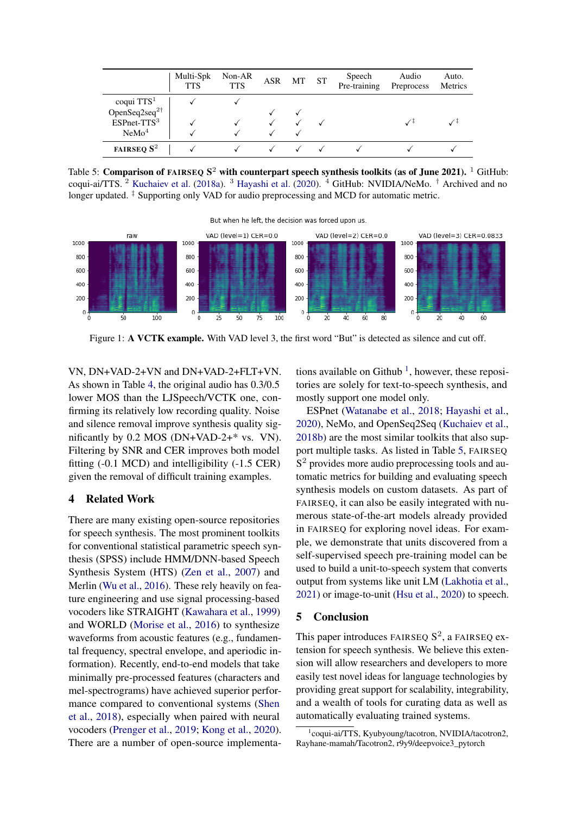<span id="page-5-2"></span>

|                           | Multi-Spk<br><b>TTS</b> | Non-AR<br><b>TTS</b> | ASR | MT. | <b>ST</b> | Speech<br>Pre-training | Audio<br>Preprocess | Auto.<br>Metrics |
|---------------------------|-------------------------|----------------------|-----|-----|-----------|------------------------|---------------------|------------------|
| coqui TTS <sup>1</sup>    |                         |                      |     |     |           |                        |                     |                  |
| OpenSeq2seq <sup>2†</sup> |                         |                      |     |     |           |                        |                     |                  |
| $ESPnet-TTS3$             |                         |                      |     |     |           |                        |                     |                  |
| NeMo <sup>4</sup>         |                         |                      |     |     |           |                        |                     |                  |
| <b>FAIRSEQ</b> $S^2$      |                         |                      |     |     |           |                        |                     |                  |

Table 5: Comparison of FAIRSEQ  $S^2$  with counterpart speech synthesis toolkits (as of June 2021).  $^1$  GitHub: coqui-ai/TTS. <sup>2</sup> [Kuchaiev et al.](#page-7-18) [\(2018a\)](#page-7-18). <sup>3</sup> [Hayashi et al.](#page-6-21) [\(2020\)](#page-6-21). <sup>4</sup> GitHub: NVIDIA/NeMo. † Archived and no longer updated. ‡ Supporting only VAD for audio preprocessing and MCD for automatic metric.

But when he left, the decision was forced upon us

<span id="page-5-0"></span>

Figure 1: A VCTK example. With VAD level 3, the first word "But" is detected as silence and cut off.

VN, DN+VAD-2+VN and DN+VAD-2+FLT+VN. As shown in Table [4,](#page-4-2) the original audio has 0.3/0.5 lower MOS than the LJSpeech/VCTK one, confirming its relatively low recording quality. Noise and silence removal improve synthesis quality significantly by 0.2 MOS (DN+VAD-2+\* vs. VN). Filtering by SNR and CER improves both model fitting (-0.1 MCD) and intelligibility (-1.5 CER) given the removal of difficult training examples.

# 4 Related Work

There are many existing open-source repositories for speech synthesis. The most prominent toolkits for conventional statistical parametric speech synthesis (SPSS) include HMM/DNN-based Speech Synthesis System (HTS) [\(Zen et al.,](#page-9-2) [2007\)](#page-9-2) and Merlin [\(Wu et al.,](#page-9-3) [2016\)](#page-9-3). These rely heavily on feature engineering and use signal processing-based vocoders like STRAIGHT [\(Kawahara et al.,](#page-7-4) [1999\)](#page-7-4) and WORLD [\(Morise et al.,](#page-7-5) [2016\)](#page-7-5) to synthesize waveforms from acoustic features (e.g., fundamental frequency, spectral envelope, and aperiodic information). Recently, end-to-end models that take minimally pre-processed features (characters and mel-spectrograms) have achieved superior performance compared to conventional systems [\(Shen](#page-8-0) [et al.,](#page-8-0) [2018\)](#page-8-0), especially when paired with neural vocoders [\(Prenger et al.,](#page-8-14) [2019;](#page-8-14) [Kong et al.,](#page-7-13) [2020\)](#page-7-13). There are a number of open-source implementa-

tions available on Github<sup>[1](#page-5-1)</sup>, however, these repositories are solely for text-to-speech synthesis, and mostly support one model only.

ESPnet [\(Watanabe et al.,](#page-8-20) [2018;](#page-8-20) [Hayashi et al.,](#page-6-21) [2020\)](#page-6-21), NeMo, and OpenSeq2Seq [\(Kuchaiev et al.,](#page-7-19) [2018b\)](#page-7-19) are the most similar toolkits that also support multiple tasks. As listed in Table [5,](#page-5-2) FAIRSEQ S<sup>2</sup> provides more audio preprocessing tools and automatic metrics for building and evaluating speech synthesis models on custom datasets. As part of FAIRSEQ, it can also be easily integrated with numerous state-of-the-art models already provided in FAIRSEQ for exploring novel ideas. For example, we demonstrate that units discovered from a self-supervised speech pre-training model can be used to build a unit-to-speech system that converts output from systems like unit LM [\(Lakhotia et al.,](#page-7-10) [2021\)](#page-7-10) or image-to-unit [\(Hsu et al.,](#page-6-8) [2020\)](#page-6-8) to speech.

## 5 Conclusion

This paper introduces FAIRSEQ  $S^2$ , a FAIRSEQ extension for speech synthesis. We believe this extension will allow researchers and developers to more easily test novel ideas for language technologies by providing great support for scalability, integrability, and a wealth of tools for curating data as well as automatically evaluating trained systems.

<span id="page-5-1"></span><sup>1</sup> coqui-ai/TTS, Kyubyoung/tacotron, NVIDIA/tacotron2, Rayhane-mamah/Tacotron2, r9y9/deepvoice3\_pytorch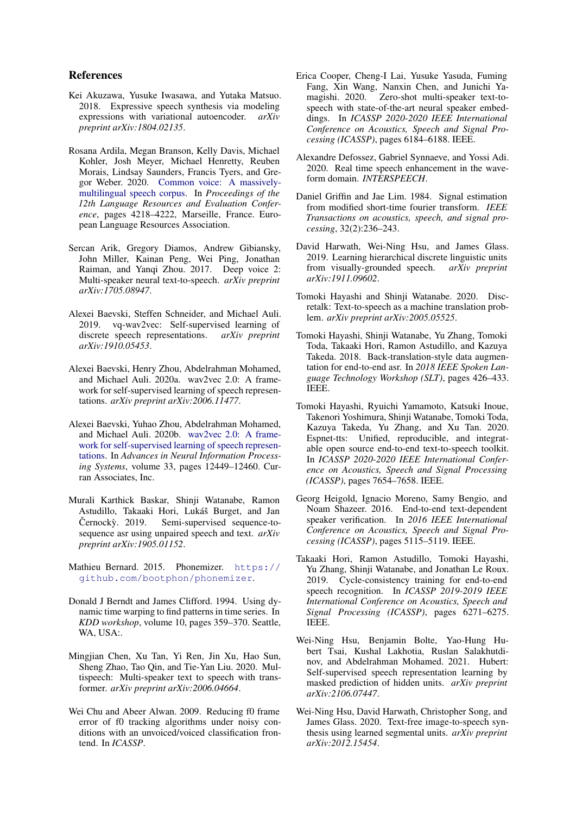## References

- <span id="page-6-1"></span>Kei Akuzawa, Yusuke Iwasawa, and Yutaka Matsuo. 2018. Expressive speech synthesis via modeling expressions with variational autoencoder. *arXiv preprint arXiv:1804.02135*.
- <span id="page-6-20"></span>Rosana Ardila, Megan Branson, Kelly Davis, Michael Kohler, Josh Meyer, Michael Henretty, Reuben Morais, Lindsay Saunders, Francis Tyers, and Gregor Weber. 2020. [Common voice: A massively](https://www.aclweb.org/anthology/2020.lrec-1.520)[multilingual speech corpus.](https://www.aclweb.org/anthology/2020.lrec-1.520) In *Proceedings of the 12th Language Resources and Evaluation Conference*, pages 4218–4222, Marseille, France. European Language Resources Association.
- <span id="page-6-11"></span>Sercan Arik, Gregory Diamos, Andrew Gibiansky, John Miller, Kainan Peng, Wei Ping, Jonathan Raiman, and Yanqi Zhou. 2017. Deep voice 2: Multi-speaker neural text-to-speech. *arXiv preprint arXiv:1705.08947*.
- <span id="page-6-5"></span>Alexei Baevski, Steffen Schneider, and Michael Auli. 2019. vq-wav2vec: Self-supervised learning of discrete speech representations. *arXiv preprint arXiv:1910.05453*.
- <span id="page-6-18"></span>Alexei Baevski, Henry Zhou, Abdelrahman Mohamed, and Michael Auli. 2020a. wav2vec 2.0: A framework for self-supervised learning of speech representations. *arXiv preprint arXiv:2006.11477*.
- <span id="page-6-10"></span>Alexei Baevski, Yuhao Zhou, Abdelrahman Mohamed, and Michael Auli. 2020b. [wav2vec 2.0: A frame](https://proceedings.neurips.cc/paper/2020/file/92d1e1eb1cd6f9fba3227870bb6d7f07-Paper.pdf)[work for self-supervised learning of speech represen](https://proceedings.neurips.cc/paper/2020/file/92d1e1eb1cd6f9fba3227870bb6d7f07-Paper.pdf)[tations.](https://proceedings.neurips.cc/paper/2020/file/92d1e1eb1cd6f9fba3227870bb6d7f07-Paper.pdf) In *Advances in Neural Information Processing Systems*, volume 33, pages 12449–12460. Curran Associates, Inc.
- <span id="page-6-4"></span>Murali Karthick Baskar, Shinji Watanabe, Ramon Astudillo, Takaaki Hori, Lukáš Burget, and Jan Černockỳ.  $2019$ . Semi-supervised sequence-tosequence asr using unpaired speech and text. *arXiv preprint arXiv:1905.01152*.
- <span id="page-6-17"></span>Mathieu Bernard. 2015. Phonemizer. [https://](https://github.com/bootphon/phonemizer) [github.com/bootphon/phonemizer](https://github.com/bootphon/phonemizer).
- <span id="page-6-16"></span>Donald J Berndt and James Clifford. 1994. Using dynamic time warping to find patterns in time series. In *KDD workshop*, volume 10, pages 359–370. Seattle, WA, USA:.
- <span id="page-6-12"></span>Mingjian Chen, Xu Tan, Yi Ren, Jin Xu, Hao Sun, Sheng Zhao, Tao Qin, and Tie-Yan Liu. 2020. Multispeech: Multi-speaker text to speech with transformer. *arXiv preprint arXiv:2006.04664*.
- <span id="page-6-15"></span>Wei Chu and Abeer Alwan. 2009. Reducing f0 frame error of f0 tracking algorithms under noisy conditions with an unvoiced/voiced classification frontend. In *ICASSP*.
- <span id="page-6-0"></span>Erica Cooper, Cheng-I Lai, Yusuke Yasuda, Fuming Fang, Xin Wang, Nanxin Chen, and Junichi Yamagishi. 2020. Zero-shot multi-speaker text-tospeech with state-of-the-art neural speaker embeddings. In *ICASSP 2020-2020 IEEE International Conference on Acoustics, Speech and Signal Processing (ICASSP)*, pages 6184–6188. IEEE.
- <span id="page-6-14"></span>Alexandre Defossez, Gabriel Synnaeve, and Yossi Adi. 2020. Real time speech enhancement in the waveform domain. *INTERSPEECH*.
- <span id="page-6-13"></span>Daniel Griffin and Jae Lim. 1984. Signal estimation from modified short-time fourier transform. *IEEE Transactions on acoustics, speech, and signal processing*, 32(2):236–243.
- <span id="page-6-6"></span>David Harwath, Wei-Ning Hsu, and James Glass. 2019. Learning hierarchical discrete linguistic units from visually-grounded speech. *arXiv preprint arXiv:1911.09602*.
- <span id="page-6-9"></span>Tomoki Hayashi and Shinji Watanabe. 2020. Discretalk: Text-to-speech as a machine translation problem. *arXiv preprint arXiv:2005.05525*.
- <span id="page-6-2"></span>Tomoki Hayashi, Shinji Watanabe, Yu Zhang, Tomoki Toda, Takaaki Hori, Ramon Astudillo, and Kazuya Takeda. 2018. Back-translation-style data augmentation for end-to-end asr. In *2018 IEEE Spoken Language Technology Workshop (SLT)*, pages 426–433. IEEE.
- <span id="page-6-21"></span>Tomoki Hayashi, Ryuichi Yamamoto, Katsuki Inoue, Takenori Yoshimura, Shinji Watanabe, Tomoki Toda, Kazuya Takeda, Yu Zhang, and Xu Tan. 2020. Espnet-tts: Unified, reproducible, and integratable open source end-to-end text-to-speech toolkit. In *ICASSP 2020-2020 IEEE International Conference on Acoustics, Speech and Signal Processing (ICASSP)*, pages 7654–7658. IEEE.
- <span id="page-6-19"></span>Georg Heigold, Ignacio Moreno, Samy Bengio, and Noam Shazeer. 2016. End-to-end text-dependent speaker verification. In *2016 IEEE International Conference on Acoustics, Speech and Signal Processing (ICASSP)*, pages 5115–5119. IEEE.
- <span id="page-6-3"></span>Takaaki Hori, Ramon Astudillo, Tomoki Hayashi, Yu Zhang, Shinji Watanabe, and Jonathan Le Roux. 2019. Cycle-consistency training for end-to-end speech recognition. In *ICASSP 2019-2019 IEEE International Conference on Acoustics, Speech and Signal Processing (ICASSP)*, pages 6271–6275. IEEE.
- <span id="page-6-7"></span>Wei-Ning Hsu, Benjamin Bolte, Yao-Hung Hubert Tsai, Kushal Lakhotia, Ruslan Salakhutdinov, and Abdelrahman Mohamed. 2021. Hubert: Self-supervised speech representation learning by masked prediction of hidden units. *arXiv preprint arXiv:2106.07447*.
- <span id="page-6-8"></span>Wei-Ning Hsu, David Harwath, Christopher Song, and James Glass. 2020. Text-free image-to-speech synthesis using learned segmental units. *arXiv preprint arXiv:2012.15454*.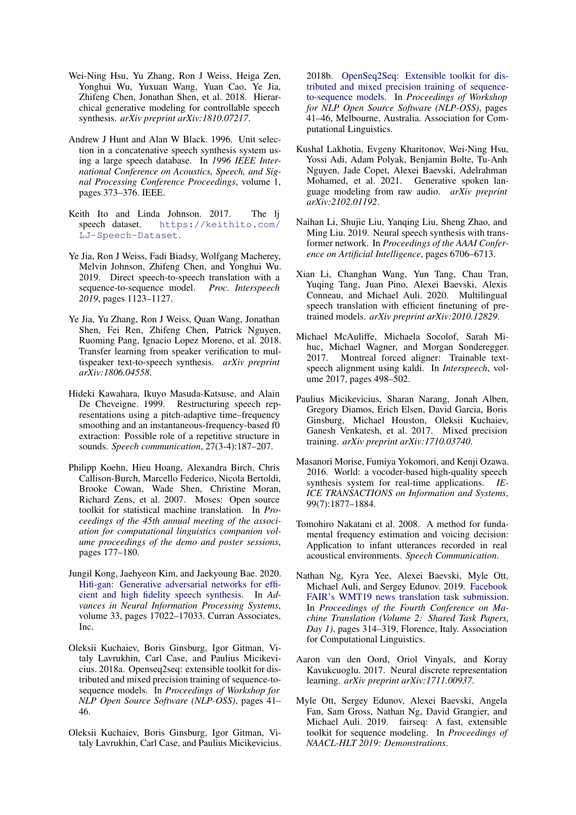- <span id="page-7-3"></span>Wei-Ning Hsu, Yu Zhang, Ron J Weiss, Heiga Zen, Yonghui Wu, Yuxuan Wang, Yuan Cao, Ye Jia, Zhifeng Chen, Jonathan Shen, et al. 2018. Hierarchical generative modeling for controllable speech synthesis. *arXiv preprint arXiv:1810.07217*.
- <span id="page-7-0"></span>Andrew J Hunt and Alan W Black. 1996. Unit selection in a concatenative speech synthesis system using a large speech database. In *1996 IEEE International Conference on Acoustics, Speech, and Signal Processing Conference Proceedings*, volume 1, pages 373–376. IEEE.
- <span id="page-7-17"></span>Keith Ito and Linda Johnson. 2017. The lj speech dataset. [https://keithito.com/](https://keithito.com/LJ-Speech-Dataset) [LJ-Speech-Dataset](https://keithito.com/LJ-Speech-Dataset).
- <span id="page-7-8"></span>Ye Jia, Ron J Weiss, Fadi Biadsy, Wolfgang Macherey, Melvin Johnson, Zhifeng Chen, and Yonghui Wu. 2019. Direct speech-to-speech translation with a sequence-to-sequence model. *Proc. Interspeech 2019*, pages 1123–1127.
- <span id="page-7-2"></span>Ye Jia, Yu Zhang, Ron J Weiss, Quan Wang, Jonathan Shen, Fei Ren, Zhifeng Chen, Patrick Nguyen, Ruoming Pang, Ignacio Lopez Moreno, et al. 2018. Transfer learning from speaker verification to multispeaker text-to-speech synthesis. *arXiv preprint arXiv:1806.04558*.
- <span id="page-7-4"></span>Hideki Kawahara, Ikuyo Masuda-Katsuse, and Alain De Cheveigne. 1999. Restructuring speech representations using a pitch-adaptive time–frequency smoothing and an instantaneous-frequency-based f0 extraction: Possible role of a repetitive structure in sounds. *Speech communication*, 27(3-4):187–207.
- <span id="page-7-6"></span>Philipp Koehn, Hieu Hoang, Alexandra Birch, Chris Callison-Burch, Marcello Federico, Nicola Bertoldi, Brooke Cowan, Wade Shen, Christine Moran, Richard Zens, et al. 2007. Moses: Open source toolkit for statistical machine translation. In *Proceedings of the 45th annual meeting of the association for computational linguistics companion volume proceedings of the demo and poster sessions*, pages 177–180.
- <span id="page-7-13"></span>Jungil Kong, Jaehyeon Kim, and Jaekyoung Bae. 2020. [Hifi-gan: Generative adversarial networks for effi](https://proceedings.neurips.cc/paper/2020/file/c5d736809766d46260d816d8dbc9eb44-Paper.pdf)[cient and high fidelity speech synthesis.](https://proceedings.neurips.cc/paper/2020/file/c5d736809766d46260d816d8dbc9eb44-Paper.pdf) In *Advances in Neural Information Processing Systems*, volume 33, pages 17022–17033. Curran Associates, Inc.
- <span id="page-7-18"></span>Oleksii Kuchaiev, Boris Ginsburg, Igor Gitman, Vitaly Lavrukhin, Carl Case, and Paulius Micikevicius. 2018a. Openseq2seq: extensible toolkit for distributed and mixed precision training of sequence-tosequence models. In *Proceedings of Workshop for NLP Open Source Software (NLP-OSS)*, pages 41– 46.
- <span id="page-7-19"></span>Oleksii Kuchaiev, Boris Ginsburg, Igor Gitman, Vitaly Lavrukhin, Carl Case, and Paulius Micikevicius.

2018b. [OpenSeq2Seq: Extensible toolkit for dis](https://doi.org/10.18653/v1/W18-2507)[tributed and mixed precision training of sequence](https://doi.org/10.18653/v1/W18-2507)[to-sequence models.](https://doi.org/10.18653/v1/W18-2507) In *Proceedings of Workshop for NLP Open Source Software (NLP-OSS)*, pages 41–46, Melbourne, Australia. Association for Computational Linguistics.

- <span id="page-7-10"></span>Kushal Lakhotia, Evgeny Kharitonov, Wei-Ning Hsu, Yossi Adi, Adam Polyak, Benjamin Bolte, Tu-Anh Nguyen, Jade Copet, Alexei Baevski, Adelrahman Mohamed, et al. 2021. Generative spoken language modeling from raw audio. *arXiv preprint arXiv:2102.01192*.
- <span id="page-7-1"></span>Naihan Li, Shujie Liu, Yanqing Liu, Sheng Zhao, and Ming Liu. 2019. Neural speech synthesis with transformer network. In *Proceedings of the AAAI Conference on Artificial Intelligence*, pages 6706–6713.
- <span id="page-7-7"></span>Xian Li, Changhan Wang, Yun Tang, Chau Tran, Yuqing Tang, Juan Pino, Alexei Baevski, Alexis Conneau, and Michael Auli. 2020. Multilingual speech translation with efficient finetuning of pretrained models. *arXiv preprint arXiv:2010.12829*.
- <span id="page-7-16"></span>Michael McAuliffe, Michaela Socolof, Sarah Mihuc, Michael Wagner, and Morgan Sonderegger. 2017. Montreal forced aligner: Trainable textspeech alignment using kaldi. In *Interspeech*, volume 2017, pages 498–502.
- <span id="page-7-14"></span>Paulius Micikevicius, Sharan Narang, Jonah Alben, Gregory Diamos, Erich Elsen, David Garcia, Boris Ginsburg, Michael Houston, Oleksii Kuchaiev, Ganesh Venkatesh, et al. 2017. Mixed precision training. *arXiv preprint arXiv:1710.03740*.
- <span id="page-7-5"></span>Masanori Morise, Fumiya Yokomori, and Kenji Ozawa. 2016. World: a vocoder-based high-quality speech synthesis system for real-time applications. *IE-ICE TRANSACTIONS on Information and Systems*, 99(7):1877–1884.
- <span id="page-7-15"></span>Tomohiro Nakatani et al. 2008. A method for fundamental frequency estimation and voicing decision: Application to infant utterances recorded in real acoustical environments. *Speech Communication*.
- <span id="page-7-12"></span>Nathan Ng, Kyra Yee, Alexei Baevski, Myle Ott, Michael Auli, and Sergey Edunov. 2019. [Facebook](https://doi.org/10.18653/v1/W19-5333) [FAIR's WMT19 news translation task submission.](https://doi.org/10.18653/v1/W19-5333) In *Proceedings of the Fourth Conference on Machine Translation (Volume 2: Shared Task Papers, Day 1)*, pages 314–319, Florence, Italy. Association for Computational Linguistics.
- <span id="page-7-9"></span>Aaron van den Oord, Oriol Vinyals, and Koray Kavukcuoglu. 2017. Neural discrete representation learning. *arXiv preprint arXiv:1711.00937*.
- <span id="page-7-11"></span>Myle Ott, Sergey Edunov, Alexei Baevski, Angela Fan, Sam Gross, Nathan Ng, David Grangier, and Michael Auli. 2019. fairseq: A fast, extensible toolkit for sequence modeling. In *Proceedings of NAACL-HLT 2019: Demonstrations*.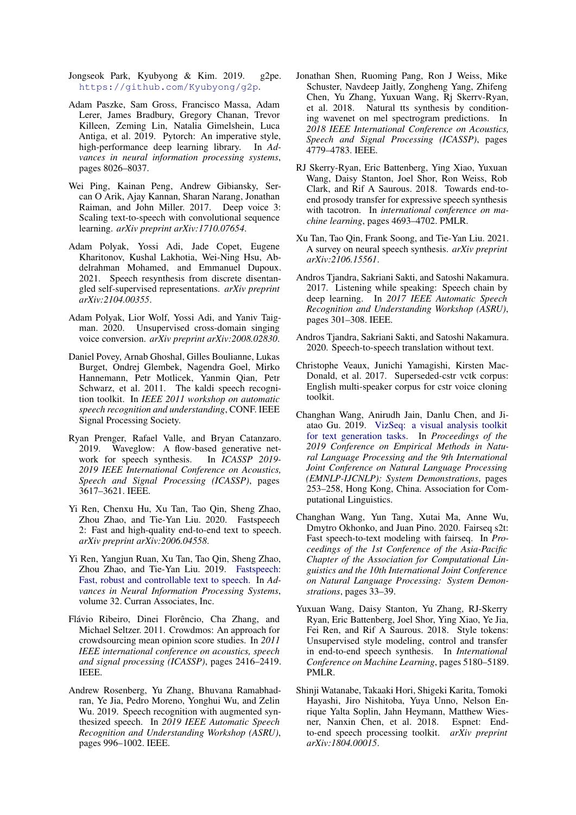- <span id="page-8-17"></span>Jongseok Park, Kyubyong & Kim. 2019. g2pe. <https://github.com/Kyubyong/g2p>.
- <span id="page-8-10"></span>Adam Paszke, Sam Gross, Francisco Massa, Adam Lerer, James Bradbury, Gregory Chanan, Trevor Killeen, Zeming Lin, Natalia Gimelshein, Luca Antiga, et al. 2019. Pytorch: An imperative style, high-performance deep learning library. In *Advances in neural information processing systems*, pages 8026–8037.
- <span id="page-8-1"></span>Wei Ping, Kainan Peng, Andrew Gibiansky, Sercan O Arik, Ajay Kannan, Sharan Narang, Jonathan Raiman, and John Miller. 2017. Deep voice 3: Scaling text-to-speech with convolutional sequence learning. *arXiv preprint arXiv:1710.07654*.
- <span id="page-8-8"></span>Adam Polyak, Yossi Adi, Jade Copet, Eugene Kharitonov, Kushal Lakhotia, Wei-Ning Hsu, Abdelrahman Mohamed, and Emmanuel Dupoux. 2021. Speech resynthesis from discrete disentangled self-supervised representations. *arXiv preprint arXiv:2104.00355*.
- <span id="page-8-15"></span>Adam Polyak, Lior Wolf, Yossi Adi, and Yaniv Taigman. 2020. Unsupervised cross-domain singing voice conversion. *arXiv preprint arXiv:2008.02830*.
- <span id="page-8-5"></span>Daniel Povey, Arnab Ghoshal, Gilles Boulianne, Lukas Burget, Ondrej Glembek, Nagendra Goel, Mirko Hannemann, Petr Motlicek, Yanmin Qian, Petr Schwarz, et al. 2011. The kaldi speech recognition toolkit. In *IEEE 2011 workshop on automatic speech recognition and understanding*, CONF. IEEE Signal Processing Society.
- <span id="page-8-14"></span>Ryan Prenger, Rafael Valle, and Bryan Catanzaro. 2019. Waveglow: A flow-based generative net-<br>work for speech synthesis. In *ICASSP 2019*work for speech synthesis. *2019 IEEE International Conference on Acoustics, Speech and Signal Processing (ICASSP)*, pages 3617–3621. IEEE.
- <span id="page-8-13"></span>Yi Ren, Chenxu Hu, Xu Tan, Tao Qin, Sheng Zhao, Zhou Zhao, and Tie-Yan Liu. 2020. Fastspeech 2: Fast and high-quality end-to-end text to speech. *arXiv preprint arXiv:2006.04558*.
- <span id="page-8-12"></span>Yi Ren, Yangjun Ruan, Xu Tan, Tao Qin, Sheng Zhao, Zhou Zhao, and Tie-Yan Liu. 2019. [Fastspeech:](https://proceedings.neurips.cc/paper/2019/file/f63f65b503e22cb970527f23c9ad7db1-Paper.pdf) [Fast, robust and controllable text to speech.](https://proceedings.neurips.cc/paper/2019/file/f63f65b503e22cb970527f23c9ad7db1-Paper.pdf) In *Advances in Neural Information Processing Systems*, volume 32. Curran Associates, Inc.
- <span id="page-8-18"></span>Flávio Ribeiro, Dinei Florêncio, Cha Zhang, and Michael Seltzer. 2011. Crowdmos: An approach for crowdsourcing mean opinion score studies. In *2011 IEEE international conference on acoustics, speech and signal processing (ICASSP)*, pages 2416–2419. IEEE.
- <span id="page-8-6"></span>Andrew Rosenberg, Yu Zhang, Bhuvana Ramabhadran, Ye Jia, Pedro Moreno, Yonghui Wu, and Zelin Wu. 2019. Speech recognition with augmented synthesized speech. In *2019 IEEE Automatic Speech Recognition and Understanding Workshop (ASRU)*, pages 996–1002. IEEE.
- <span id="page-8-0"></span>Jonathan Shen, Ruoming Pang, Ron J Weiss, Mike Schuster, Navdeep Jaitly, Zongheng Yang, Zhifeng Chen, Yu Zhang, Yuxuan Wang, Rj Skerrv-Ryan, et al. 2018. Natural tts synthesis by conditioning wavenet on mel spectrogram predictions. In *2018 IEEE International Conference on Acoustics, Speech and Signal Processing (ICASSP)*, pages 4779–4783. IEEE.
- <span id="page-8-3"></span>RJ Skerry-Ryan, Eric Battenberg, Ying Xiao, Yuxuan Wang, Daisy Stanton, Joel Shor, Ron Weiss, Rob Clark, and Rif A Saurous. 2018. Towards end-toend prosody transfer for expressive speech synthesis with tacotron. In *international conference on machine learning*, pages 4693–4702. PMLR.
- <span id="page-8-4"></span>Xu Tan, Tao Qin, Frank Soong, and Tie-Yan Liu. 2021. A survey on neural speech synthesis. *arXiv preprint arXiv:2106.15561*.
- <span id="page-8-7"></span>Andros Tjandra, Sakriani Sakti, and Satoshi Nakamura. 2017. Listening while speaking: Speech chain by deep learning. In *2017 IEEE Automatic Speech Recognition and Understanding Workshop (ASRU)*, pages 301–308. IEEE.
- <span id="page-8-9"></span>Andros Tjandra, Sakriani Sakti, and Satoshi Nakamura. 2020. Speech-to-speech translation without text.
- <span id="page-8-19"></span>Christophe Veaux, Junichi Yamagishi, Kirsten Mac-Donald, et al. 2017. Superseded-cstr vctk corpus: English multi-speaker corpus for cstr voice cloning toolkit.
- <span id="page-8-16"></span>Changhan Wang, Anirudh Jain, Danlu Chen, and Jiatao Gu. 2019. [VizSeq: a visual analysis toolkit](https://doi.org/10.18653/v1/D19-3043) [for text generation tasks.](https://doi.org/10.18653/v1/D19-3043) In *Proceedings of the 2019 Conference on Empirical Methods in Natural Language Processing and the 9th International Joint Conference on Natural Language Processing (EMNLP-IJCNLP): System Demonstrations*, pages 253–258, Hong Kong, China. Association for Computational Linguistics.
- <span id="page-8-11"></span>Changhan Wang, Yun Tang, Xutai Ma, Anne Wu, Dmytro Okhonko, and Juan Pino. 2020. Fairseq s2t: Fast speech-to-text modeling with fairseq. In *Proceedings of the 1st Conference of the Asia-Pacific Chapter of the Association for Computational Linguistics and the 10th International Joint Conference on Natural Language Processing: System Demonstrations*, pages 33–39.
- <span id="page-8-2"></span>Yuxuan Wang, Daisy Stanton, Yu Zhang, RJ-Skerry Ryan, Eric Battenberg, Joel Shor, Ying Xiao, Ye Jia, Fei Ren, and Rif A Saurous. 2018. Style tokens: Unsupervised style modeling, control and transfer in end-to-end speech synthesis. In *International Conference on Machine Learning*, pages 5180–5189. PMLR.
- <span id="page-8-20"></span>Shinji Watanabe, Takaaki Hori, Shigeki Karita, Tomoki Hayashi, Jiro Nishitoba, Yuya Unno, Nelson Enrique Yalta Soplin, Jahn Heymann, Matthew Wiesner, Nanxin Chen, et al. 2018. to-end speech processing toolkit. *arXiv preprint arXiv:1804.00015*.